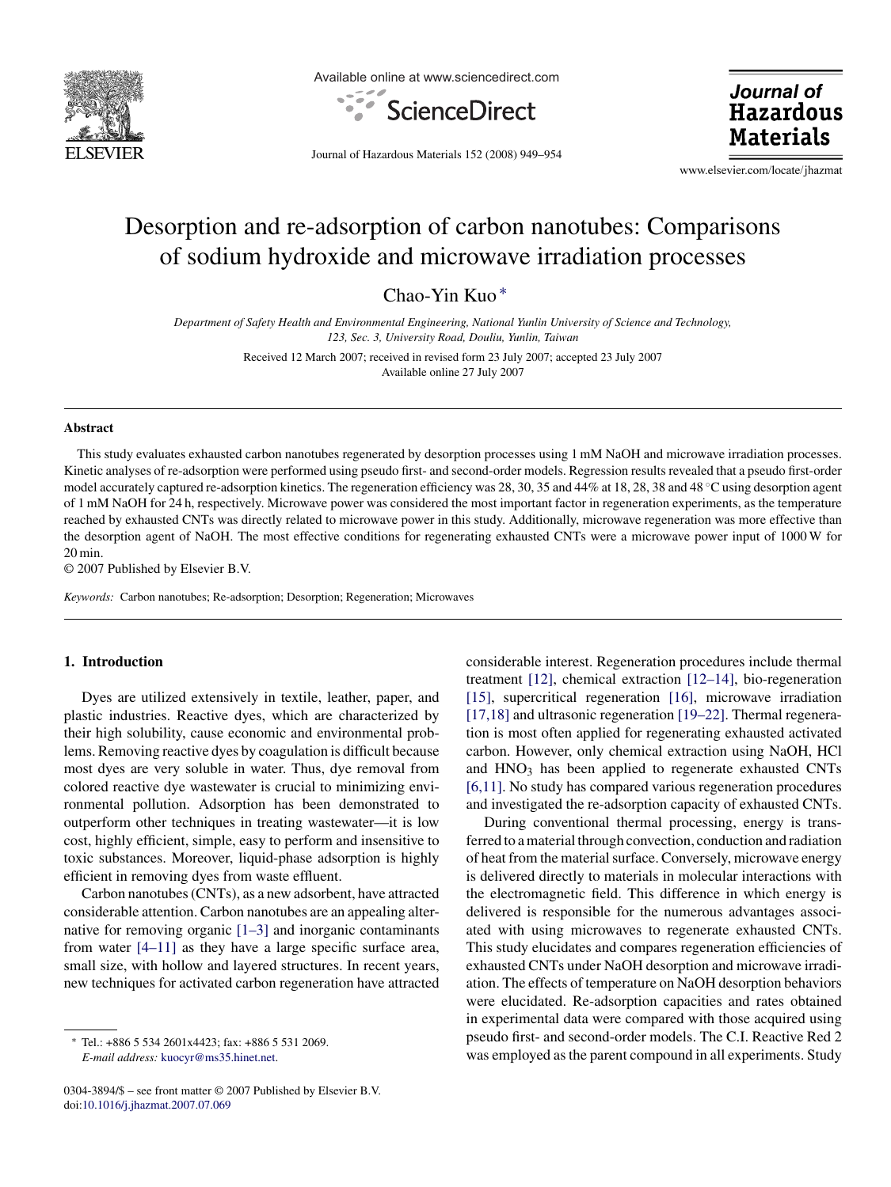

Available online at www.sciencedirect.com



Journal of **Hazardous Materials** 

Journal of Hazardous Materials 152 (2008) 949–954

www.elsevier.com/locate/jhazmat

# Desorption and re-adsorption of carbon nanotubes: Comparisons of sodium hydroxide and microwave irradiation processes

Chao-Yin Kuo ∗

*Department of Safety Health and Environmental Engineering, National Yunlin University of Science and Technology, 123, Sec. 3, University Road, Douliu, Yunlin, Taiwan*

> Received 12 March 2007; received in revised form 23 July 2007; accepted 23 July 2007 Available online 27 July 2007

## **Abstract**

This study evaluates exhausted carbon nanotubes regenerated by desorption processes using 1 mM NaOH and microwave irradiation processes. Kinetic analyses of re-adsorption were performed using pseudo first- and second-order models. Regression results revealed that a pseudo first-order model accurately captured re-adsorption kinetics. The regeneration efficiency was 28, 30, 35 and 44% at 18, 28, 38 and 48 ◦C using desorption agent of 1 mM NaOH for 24 h, respectively. Microwave power was considered the most important factor in regeneration experiments, as the temperature reached by exhausted CNTs was directly related to microwave power in this study. Additionally, microwave regeneration was more effective than the desorption agent of NaOH. The most effective conditions for regenerating exhausted CNTs were a microwave power input of 1000 W for 20 min.

© 2007 Published by Elsevier B.V.

*Keywords:* Carbon nanotubes; Re-adsorption; Desorption; Regeneration; Microwaves

## **1. Introduction**

Dyes are utilized extensively in textile, leather, paper, and plastic industries. Reactive dyes, which are characterized by their high solubility, cause economic and environmental problems. Removing reactive dyes by coagulation is difficult because most dyes are very soluble in water. Thus, dye removal from colored reactive dye wastewater is crucial to minimizing environmental pollution. Adsorption has been demonstrated to outperform other techniques in treating wastewater—it is low cost, highly efficient, simple, easy to perform and insensitive to toxic substances. Moreover, liquid-phase adsorption is highly efficient in removing dyes from waste effluent.

Carbon nanotubes (CNTs), as a new adsorbent, have attracted considerable attention. Carbon nanotubes are an appealing alternative for removing organic [\[1–3\]](#page-4-0) and inorganic contaminants from water [\[4–11\]](#page-4-0) as they have a large specific surface area, small size, with hollow and layered structures. In recent years, new techniques for activated carbon regeneration have attracted

considerable interest. Regeneration procedures include thermal treatment [\[12\],](#page-5-0) chemical extraction [\[12–14\],](#page-5-0) bio-regeneration [\[15\],](#page-5-0) supercritical regeneration [\[16\],](#page-5-0) microwave irradiation [\[17,18\]](#page-5-0) and ultrasonic regeneration [\[19–22\].](#page-5-0) Thermal regeneration is most often applied for regenerating exhausted activated carbon. However, only chemical extraction using NaOH, HCl and  $HNO<sub>3</sub>$  has been applied to regenerate exhausted CNTs [\[6,11\]. N](#page-4-0)o study has compared various regeneration procedures and investigated the re-adsorption capacity of exhausted CNTs.

During conventional thermal processing, energy is transferred to a material through convection, conduction and radiation of heat from the material surface. Conversely, microwave energy is delivered directly to materials in molecular interactions with the electromagnetic field. This difference in which energy is delivered is responsible for the numerous advantages associated with using microwaves to regenerate exhausted CNTs. This study elucidates and compares regeneration efficiencies of exhausted CNTs under NaOH desorption and microwave irradiation. The effects of temperature on NaOH desorption behaviors were elucidated. Re-adsorption capacities and rates obtained in experimental data were compared with those acquired using pseudo first- and second-order models. The C.I. Reactive Red 2 was employed as the parent compound in all experiments. Study

Tel.: +886 5 534 2601x4423; fax: +886 5 531 2069. *E-mail address:* [kuocyr@ms35.hinet.net](mailto:kuocyr@ms35.hinet.net).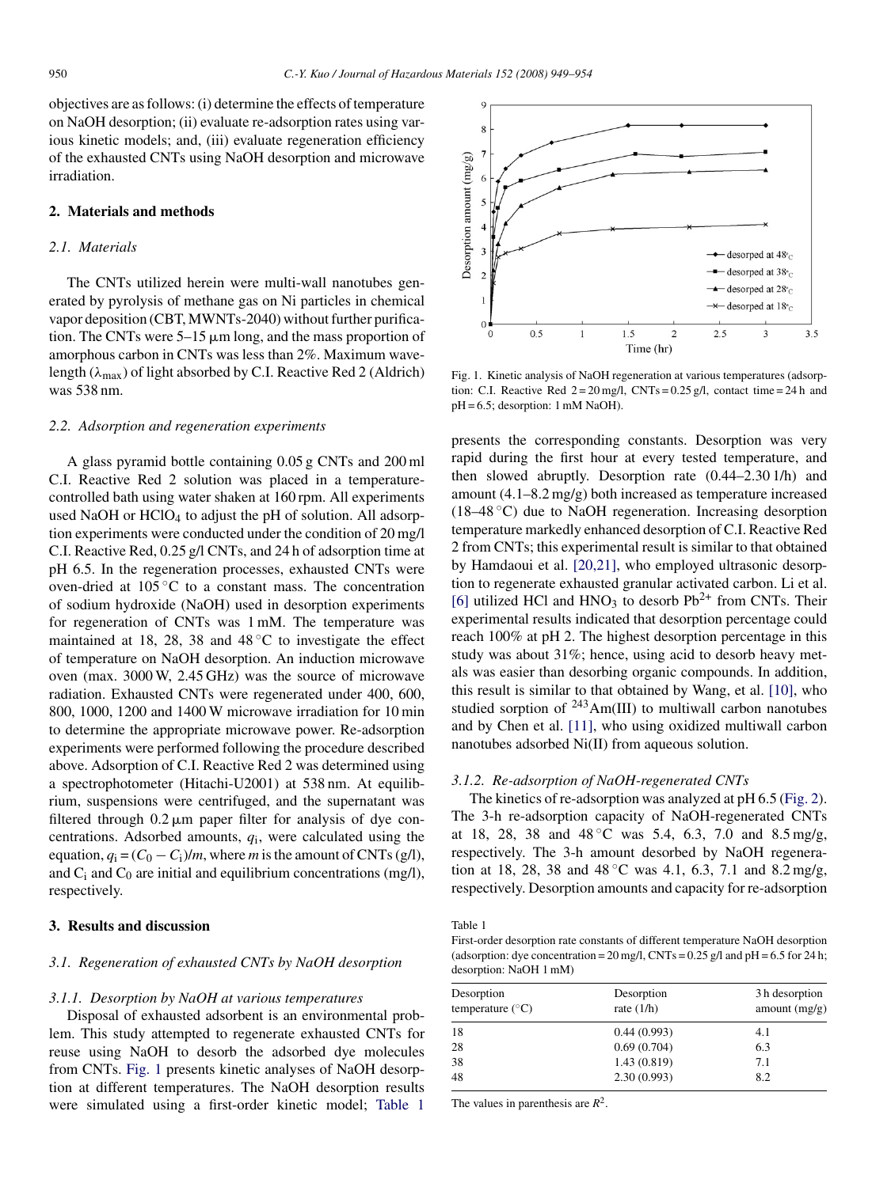objectives are as follows: (i) determine the effects of temperature on NaOH desorption; (ii) evaluate re-adsorption rates using various kinetic models; and, (iii) evaluate regeneration efficiency of the exhausted CNTs using NaOH desorption and microwave irradiation.

### **2. Materials and methods**

#### *2.1. Materials*

The CNTs utilized herein were multi-wall nanotubes generated by pyrolysis of methane gas on Ni particles in chemical vapor deposition (CBT, MWNTs-2040) without further purification. The CNTs were  $5-15 \mu m$  long, and the mass proportion of amorphous carbon in CNTs was less than 2%. Maximum wavelength ( $\lambda_{\text{max}}$ ) of light absorbed by C.I. Reactive Red 2 (Aldrich) was 538 nm.

#### *2.2. Adsorption and regeneration experiments*

A glass pyramid bottle containing 0.05 g CNTs and 200 ml C.I. Reactive Red 2 solution was placed in a temperaturecontrolled bath using water shaken at 160 rpm. All experiments used NaOH or HClO<sub>4</sub> to adjust the pH of solution. All adsorption experiments were conducted under the condition of 20 mg/l C.I. Reactive Red, 0.25 g/l CNTs, and 24 h of adsorption time at pH 6.5. In the regeneration processes, exhausted CNTs were oven-dried at 105 ◦C to a constant mass. The concentration of sodium hydroxide (NaOH) used in desorption experiments for regeneration of CNTs was 1 mM. The temperature was maintained at 18, 28, 38 and  $48\degree$ C to investigate the effect of temperature on NaOH desorption. An induction microwave oven (max. 3000 W, 2.45 GHz) was the source of microwave radiation. Exhausted CNTs were regenerated under 400, 600, 800, 1000, 1200 and 1400 W microwave irradiation for 10 min to determine the appropriate microwave power. Re-adsorption experiments were performed following the procedure described above. Adsorption of C.I. Reactive Red 2 was determined using a spectrophotometer (Hitachi-U2001) at 538 nm. At equilibrium, suspensions were centrifuged, and the supernatant was filtered through  $0.2 \mu m$  paper filter for analysis of dye concentrations. Adsorbed amounts, *q*i, were calculated using the equation,  $q_i = (C_0 - C_i)/m$ , where *m* is the amount of CNTs (g/l), and  $C_i$  and  $C_0$  are initial and equilibrium concentrations (mg/l), respectively.

## **3. Results and discussion**

## *3.1. Regeneration of exhausted CNTs by NaOH desorption*

#### *3.1.1. Desorption by NaOH at various temperatures*

Disposal of exhausted adsorbent is an environmental problem. This study attempted to regenerate exhausted CNTs for reuse using NaOH to desorb the adsorbed dye molecules from CNTs. Fig. 1 presents kinetic analyses of NaOH desorption at different temperatures. The NaOH desorption results were simulated using a first-order kinetic model; Table 1



Fig. 1. Kinetic analysis of NaOH regeneration at various temperatures (adsorption: C.I. Reactive Red  $2 = 20$  mg/l, CNTs = 0.25 g/l, contact time = 24 h and pH = 6.5; desorption: 1 mM NaOH).

presents the corresponding constants. Desorption was very rapid during the first hour at every tested temperature, and then slowed abruptly. Desorption rate (0.44–2.30 1/h) and amount (4.1–8.2 mg/g) both increased as temperature increased (18–48  $\degree$ C) due to NaOH regeneration. Increasing desorption temperature markedly enhanced desorption of C.I. Reactive Red 2 from CNTs; this experimental result is similar to that obtained by Hamdaoui et al. [\[20,21\],](#page-5-0) who employed ultrasonic desorption to regenerate exhausted granular activated carbon. Li et al. [\[6\]](#page-4-0) utilized HCl and HNO<sub>3</sub> to desorb  $Pb^{2+}$  from CNTs. Their experimental results indicated that desorption percentage could reach 100% at pH 2. The highest desorption percentage in this study was about 31%; hence, using acid to desorb heavy metals was easier than desorbing organic compounds. In addition, this result is similar to that obtained by Wang, et al. [\[10\],](#page-5-0) who studied sorption of <sup>243</sup>Am(III) to multiwall carbon nanotubes and by Chen et al. [\[11\],](#page-5-0) who using oxidized multiwall carbon nanotubes adsorbed Ni(II) from aqueous solution.

#### *3.1.2. Re-adsorption of NaOH-regenerated CNTs*

The kinetics of re-adsorption was analyzed at pH 6.5 [\(Fig. 2\).](#page-2-0) The 3-h re-adsorption capacity of NaOH-regenerated CNTs at 18, 28, 38 and  $48\degree$ C was 5.4, 6.3, 7.0 and 8.5 mg/g, respectively. The 3-h amount desorbed by NaOH regeneration at 18, 28, 38 and 48 ◦C was 4.1, 6.3, 7.1 and 8.2 mg/g, respectively. Desorption amounts and capacity for re-adsorption

Table 1

First-order desorption rate constants of different temperature NaOH desorption (adsorption: dye concentration =  $20 \text{ mg/l}$ , CNTs =  $0.25 \text{ g/l}$  and  $pH = 6.5$  for 24 h; desorption: NaOH 1 mM)

| Desorption<br>temperature $(^{\circ}C)$ | Desorption<br>rate $(1/h)$ | 3 h desorption<br>amount $(mg/g)$ |
|-----------------------------------------|----------------------------|-----------------------------------|
| 18                                      | 0.44(0.993)                | 4.1                               |
| 28                                      | 0.69(0.704)                | 6.3                               |
| 38                                      | 1.43(0.819)                | 7.1                               |
| 48                                      | 2.30(0.993)                | 8.2                               |

The values in parenthesis are  $R^2$ .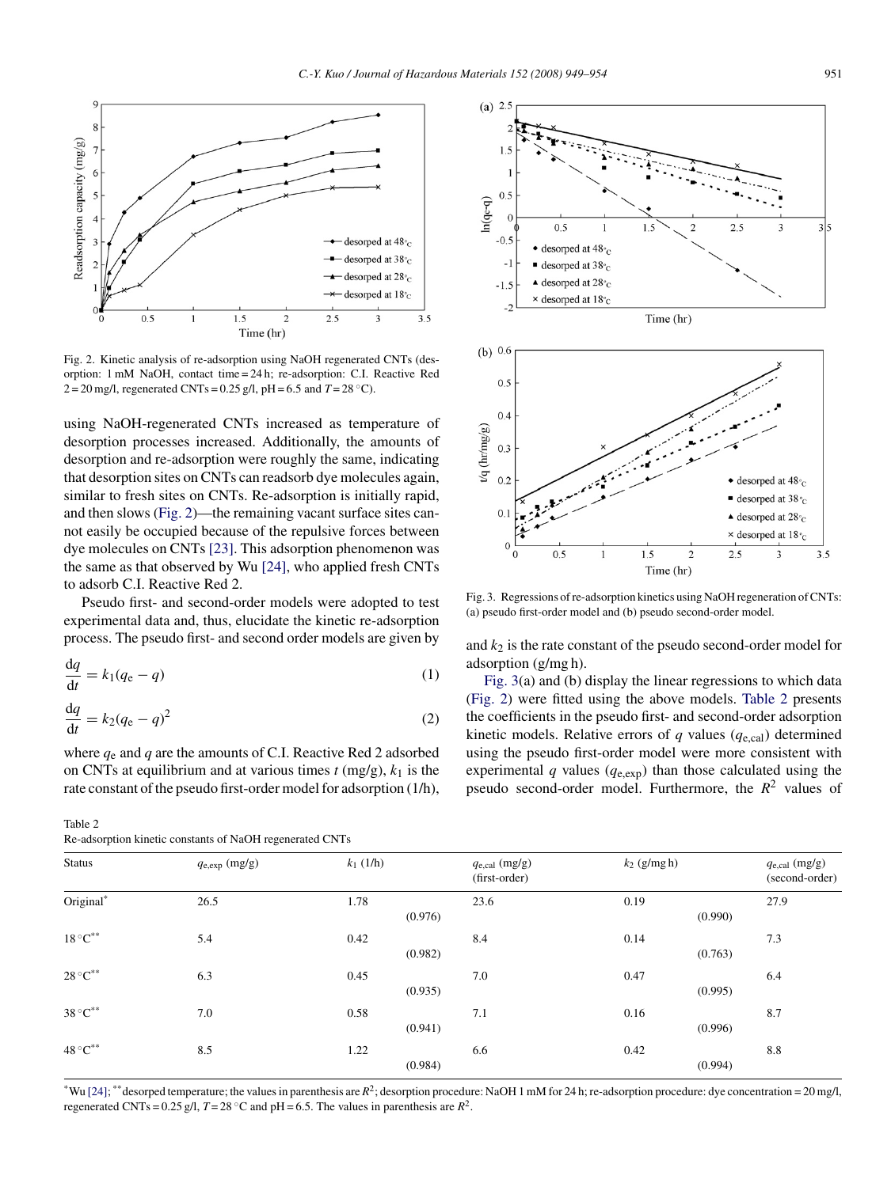<span id="page-2-0"></span>

Fig. 2. Kinetic analysis of re-adsorption using NaOH regenerated CNTs (desorption: 1 mM NaOH, contact time = 24 h; re-adsorption: C.I. Reactive Red 2 = 20 mg/l, regenerated CNTs = 0.25 g/l, pH = 6.5 and *T* = 28 ◦C).

using NaOH-regenerated CNTs increased as temperature of desorption processes increased. Additionally, the amounts of desorption and re-adsorption were roughly the same, indicating that desorption sites on CNTs can readsorb dye molecules again, similar to fresh sites on CNTs. Re-adsorption is initially rapid, and then slows (Fig. 2)—the remaining vacant surface sites cannot easily be occupied because of the repulsive forces between dye molecules on CNTs [\[23\]. T](#page-5-0)his adsorption phenomenon was the same as that observed by Wu [\[24\],](#page-5-0) who applied fresh CNTs to adsorb C.I. Reactive Red 2.

Pseudo first- and second-order models were adopted to test experimental data and, thus, elucidate the kinetic re-adsorption process. The pseudo first- and second order models are given by

$$
\frac{\mathrm{d}q}{\mathrm{d}t} = k_1(q_{\rm e} - q) \tag{1}
$$

$$
\frac{\mathrm{d}q}{\mathrm{d}t} = k_2(q_{\rm e} - q)^2 \tag{2}
$$

where *q*<sup>e</sup> and *q* are the amounts of C.I. Reactive Red 2 adsorbed on CNTs at equilibrium and at various times  $t$  (mg/g),  $k_1$  is the rate constant of the pseudo first-order model for adsorption (1/h),

Table 2 Re-adsorption kinetic constants of NaOH regenerated CNTs



Fig. 3. Regressions of re-adsorption kinetics using NaOH regeneration of CNTs: (a) pseudo first-order model and (b) pseudo second-order model.

and  $k_2$  is the rate constant of the pseudo second-order model for adsorption (g/mg h).

Fig. 3(a) and (b) display the linear regressions to which data (Fig. 2) were fitted using the above models. Table 2 presents the coefficients in the pseudo first- and second-order adsorption kinetic models. Relative errors of  $q$  values ( $q_{e,cal}$ ) determined using the pseudo first-order model were more consistent with experimental  $q$  values ( $q_{e,exp}$ ) than those calculated using the pseudo second-order model. Furthermore, the *R*<sup>2</sup> values of

| <b>Status</b>                 | $q_{\text{e,exp}}$ (mg/g) | $k_1$ (1/h) | $q_{e, cal}$ (mg/g)<br>(first-order) | $k_2$ (g/mg h)  | $q_{e, cal}$ (mg/g)<br>(second-order) |
|-------------------------------|---------------------------|-------------|--------------------------------------|-----------------|---------------------------------------|
| Original*                     | 26.5                      | 1.78        | 23.6<br>(0.976)                      | 0.19<br>(0.990) | 27.9                                  |
| $18\,^{\circ}\textrm{C}^{**}$ | 5.4                       | 0.42        | 8.4<br>(0.982)                       | 0.14<br>(0.763) | 7.3                                   |
| $28\,^{\circ}\textrm{C}^{**}$ | 6.3                       | 0.45        | 7.0<br>(0.935)                       | 0.47<br>(0.995) | 6.4                                   |
| $38\,^{\circ}\textrm{C}^{**}$ | 7.0                       | 0.58        | 7.1<br>(0.941)                       | 0.16<br>(0.996) | 8.7                                   |
| $48\,^{\circ}\textrm{C}^{**}$ | 8.5                       | 1.22        | 6.6<br>(0.984)                       | 0.42<br>(0.994) | 8.8                                   |

\*Wu [\[24\];](#page-5-0) \*\*desorped temperature; the values in parenthesis are  $R^2$ ; desorption procedure: NaOH 1 mM for 24 h; re-adsorption procedure: dye concentration = 20 mg/l, regenerated CNTs = 0.25 g/l,  $T = 28 \degree$ C and pH = 6.5. The values in parenthesis are  $R^2$ .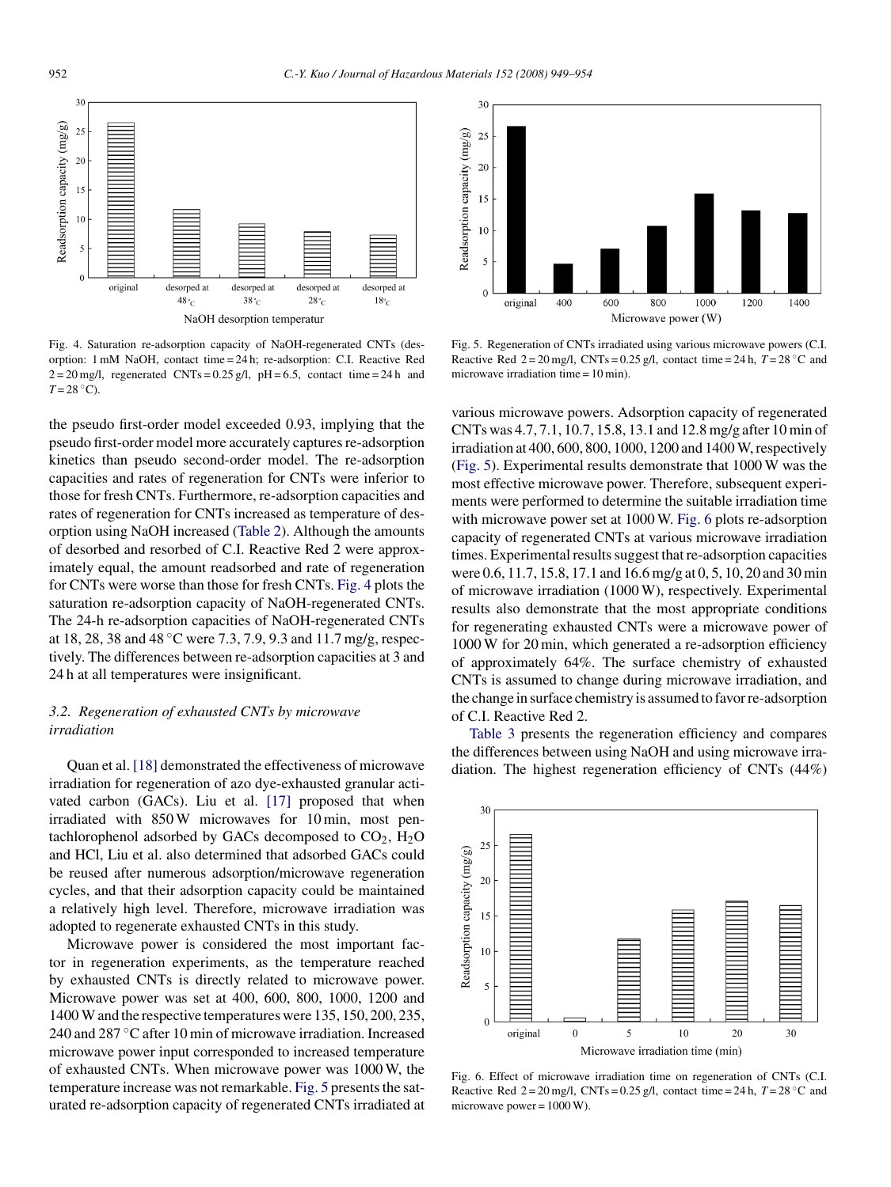

Fig. 4. Saturation re-adsorption capacity of NaOH-regenerated CNTs (desorption: 1 mM NaOH, contact time = 24 h; re-adsorption: C.I. Reactive Red  $2 = 20$  mg/l, regenerated CNTs = 0.25 g/l, pH = 6.5, contact time = 24 h and  $T = 28$  °C).

the pseudo first-order model exceeded 0.93, implying that the pseudo first-order model more accurately captures re-adsorption kinetics than pseudo second-order model. The re-adsorption capacities and rates of regeneration for CNTs were inferior to those for fresh CNTs. Furthermore, re-adsorption capacities and rates of regeneration for CNTs increased as temperature of desorption using NaOH increased ([Table 2\).](#page-2-0) Although the amounts of desorbed and resorbed of C.I. Reactive Red 2 were approximately equal, the amount readsorbed and rate of regeneration for CNTs were worse than those for fresh CNTs. Fig. 4 plots the saturation re-adsorption capacity of NaOH-regenerated CNTs. The 24-h re-adsorption capacities of NaOH-regenerated CNTs at 18, 28, 38 and 48 ◦C were 7.3, 7.9, 9.3 and 11.7 mg/g, respectively. The differences between re-adsorption capacities at 3 and 24 h at all temperatures were insignificant.

## *3.2. Regeneration of exhausted CNTs by microwave irradiation*

Quan et al. [\[18\]](#page-5-0) demonstrated the effectiveness of microwave irradiation for regeneration of azo dye-exhausted granular activated carbon (GACs). Liu et al. [\[17\]](#page-5-0) proposed that when irradiated with 850 W microwaves for 10 min, most pentachlorophenol adsorbed by GACs decomposed to  $CO<sub>2</sub>$ ,  $H<sub>2</sub>O$ and HCl, Liu et al. also determined that adsorbed GACs could be reused after numerous adsorption/microwave regeneration cycles, and that their adsorption capacity could be maintained a relatively high level. Therefore, microwave irradiation was adopted to regenerate exhausted CNTs in this study.

Microwave power is considered the most important factor in regeneration experiments, as the temperature reached by exhausted CNTs is directly related to microwave power. Microwave power was set at 400, 600, 800, 1000, 1200 and 1400 W and the respective temperatures were 135, 150, 200, 235, 240 and 287 ◦C after 10 min of microwave irradiation. Increased microwave power input corresponded to increased temperature of exhausted CNTs. When microwave power was 1000 W, the temperature increase was not remarkable. Fig. 5 presents the saturated re-adsorption capacity of regenerated CNTs irradiated at



Fig. 5. Regeneration of CNTs irradiated using various microwave powers (C.I. Reactive Red  $2 = 20$  mg/l, CNTs = 0.25 g/l, contact time = 24 h,  $T = 28$  °C and microwave irradiation time  $= 10$  min).

various microwave powers. Adsorption capacity of regenerated CNTs was 4.7, 7.1, 10.7, 15.8, 13.1 and 12.8 mg/g after 10 min of irradiation at 400, 600, 800, 1000, 1200 and 1400 W, respectively (Fig. 5). Experimental results demonstrate that 1000 W was the most effective microwave power. Therefore, subsequent experiments were performed to determine the suitable irradiation time with microwave power set at 1000 W. Fig. 6 plots re-adsorption capacity of regenerated CNTs at various microwave irradiation times. Experimental results suggest that re-adsorption capacities were 0.6, 11.7, 15.8, 17.1 and 16.6 mg/g at 0, 5, 10, 20 and 30 min of microwave irradiation (1000 W), respectively. Experimental results also demonstrate that the most appropriate conditions for regenerating exhausted CNTs were a microwave power of 1000 W for 20 min, which generated a re-adsorption efficiency of approximately 64%. The surface chemistry of exhausted CNTs is assumed to change during microwave irradiation, and the change in surface chemistry is assumed to favor re-adsorption of C.I. Reactive Red 2.

[Table 3](#page-4-0) presents the regeneration efficiency and compares the differences between using NaOH and using microwave irradiation. The highest regeneration efficiency of CNTs (44%)



Fig. 6. Effect of microwave irradiation time on regeneration of CNTs (C.I. Reactive Red  $2 = 20$  mg/l, CNTs = 0.25 g/l, contact time = 24 h,  $T = 28$  °C and microwave power =  $1000$  W).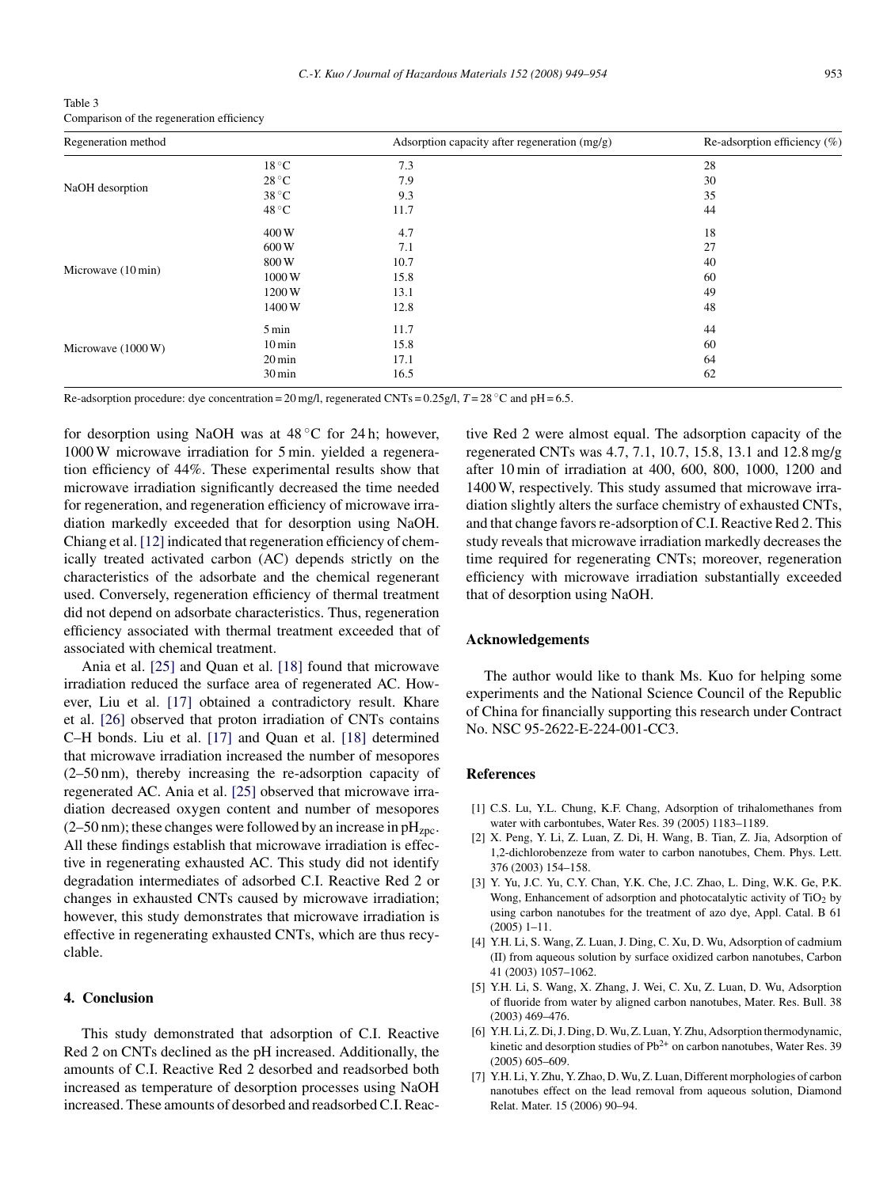<span id="page-4-0"></span>

| Table 3                                   |
|-------------------------------------------|
| Comparison of the regeneration efficiency |

| Regeneration method |                     | Adsorption capacity after regeneration $(mg/g)$ | Re-adsorption efficiency $(\%)$ |
|---------------------|---------------------|-------------------------------------------------|---------------------------------|
| NaOH desorption     | $18^{\circ}$ C      | 7.3                                             | 28                              |
|                     | $28^{\circ}$ C      | 7.9                                             | 30                              |
|                     | $38^{\circ}$ C      | 9.3                                             | 35                              |
|                     | $48^{\circ}$ C      | 11.7                                            | 44                              |
|                     | 400W                | 4.7                                             | 18                              |
|                     | 600W                | 7.1                                             | 27                              |
| Microwave (10 min)  | 800W                | 10.7                                            | 40                              |
|                     | 1000W               | 15.8                                            | 60                              |
|                     | 1200W               | 13.1                                            | 49                              |
|                     | 1400W               | 12.8                                            | 48                              |
|                     | 5 min               | 11.7                                            | 44                              |
| Microwave (1000 W)  | $10 \,\mathrm{min}$ | 15.8                                            | 60                              |
|                     | $20 \,\mathrm{min}$ | 17.1                                            | 64                              |
|                     | 30 min              | 16.5                                            | 62                              |

Re-adsorption procedure: dye concentration =  $20 \text{ mg/l}$ , regenerated CNTs =  $0.25 \text{ g/l}$ ,  $T = 28 \text{ °C}$  and pH = 6.5.

for desorption using NaOH was at  $48^{\circ}$ C for 24 h; however, 1000 W microwave irradiation for 5 min. yielded a regeneration efficiency of 44%. These experimental results show that microwave irradiation significantly decreased the time needed for regeneration, and regeneration efficiency of microwave irradiation markedly exceeded that for desorption using NaOH. Chiang et al. [\[12\]](#page-5-0) indicated that regeneration efficiency of chemically treated activated carbon (AC) depends strictly on the characteristics of the adsorbate and the chemical regenerant used. Conversely, regeneration efficiency of thermal treatment did not depend on adsorbate characteristics. Thus, regeneration efficiency associated with thermal treatment exceeded that of associated with chemical treatment.

Ania et al. [\[25\]](#page-5-0) and Quan et al. [\[18\]](#page-5-0) found that microwave irradiation reduced the surface area of regenerated AC. However, Liu et al. [\[17\]](#page-5-0) obtained a contradictory result. Khare et al. [\[26\]](#page-5-0) observed that proton irradiation of CNTs contains C–H bonds. Liu et al. [\[17\]](#page-5-0) and Quan et al. [\[18\]](#page-5-0) determined that microwave irradiation increased the number of mesopores (2–50 nm), thereby increasing the re-adsorption capacity of regenerated AC. Ania et al. [\[25\]](#page-5-0) observed that microwave irradiation decreased oxygen content and number of mesopores  $(2–50 \text{ nm})$ ; these changes were followed by an increase in pH<sub>zpc</sub>. All these findings establish that microwave irradiation is effective in regenerating exhausted AC. This study did not identify degradation intermediates of adsorbed C.I. Reactive Red 2 or changes in exhausted CNTs caused by microwave irradiation; however, this study demonstrates that microwave irradiation is effective in regenerating exhausted CNTs, which are thus recyclable.

#### **4. Conclusion**

This study demonstrated that adsorption of C.I. Reactive Red 2 on CNTs declined as the pH increased. Additionally, the amounts of C.I. Reactive Red 2 desorbed and readsorbed both increased as temperature of desorption processes using NaOH increased. These amounts of desorbed and readsorbed C.I. Reactive Red 2 were almost equal. The adsorption capacity of the regenerated CNTs was 4.7, 7.1, 10.7, 15.8, 13.1 and 12.8 mg/g after 10 min of irradiation at 400, 600, 800, 1000, 1200 and 1400 W, respectively. This study assumed that microwave irradiation slightly alters the surface chemistry of exhausted CNTs, and that change favors re-adsorption of C.I. Reactive Red 2. This study reveals that microwave irradiation markedly decreases the time required for regenerating CNTs; moreover, regeneration efficiency with microwave irradiation substantially exceeded that of desorption using NaOH.

## **Acknowledgements**

The author would like to thank Ms. Kuo for helping some experiments and the National Science Council of the Republic of China for financially supporting this research under Contract No. NSC 95-2622-E-224-001-CC3.

#### **References**

- [1] C.S. Lu, Y.L. Chung, K.F. Chang, Adsorption of trihalomethanes from water with carbontubes, Water Res. 39 (2005) 1183–1189.
- [2] X. Peng, Y. Li, Z. Luan, Z. Di, H. Wang, B. Tian, Z. Jia, Adsorption of 1,2-dichlorobenzeze from water to carbon nanotubes, Chem. Phys. Lett. 376 (2003) 154–158.
- [3] Y. Yu, J.C. Yu, C.Y. Chan, Y.K. Che, J.C. Zhao, L. Ding, W.K. Ge, P.K. Wong, Enhancement of adsorption and photocatalytic activity of  $TiO<sub>2</sub>$  by using carbon nanotubes for the treatment of azo dye, Appl. Catal. B 61  $(2005)$  1–11.
- [4] Y.H. Li, S. Wang, Z. Luan, J. Ding, C. Xu, D. Wu, Adsorption of cadmium (II) from aqueous solution by surface oxidized carbon nanotubes, Carbon 41 (2003) 1057–1062.
- [5] Y.H. Li, S. Wang, X. Zhang, J. Wei, C. Xu, Z. Luan, D. Wu, Adsorption of fluoride from water by aligned carbon nanotubes, Mater. Res. Bull. 38 (2003) 469–476.
- [6] Y.H. Li, Z. Di, J. Ding, D. Wu, Z. Luan, Y. Zhu, Adsorption thermodynamic, kinetic and desorption studies of  $Pb^{2+}$  on carbon nanotubes, Water Res. 39 (2005) 605–609.
- [7] Y.H. Li, Y. Zhu, Y. Zhao, D. Wu, Z. Luan, Different morphologies of carbon nanotubes effect on the lead removal from aqueous solution, Diamond Relat. Mater. 15 (2006) 90–94.